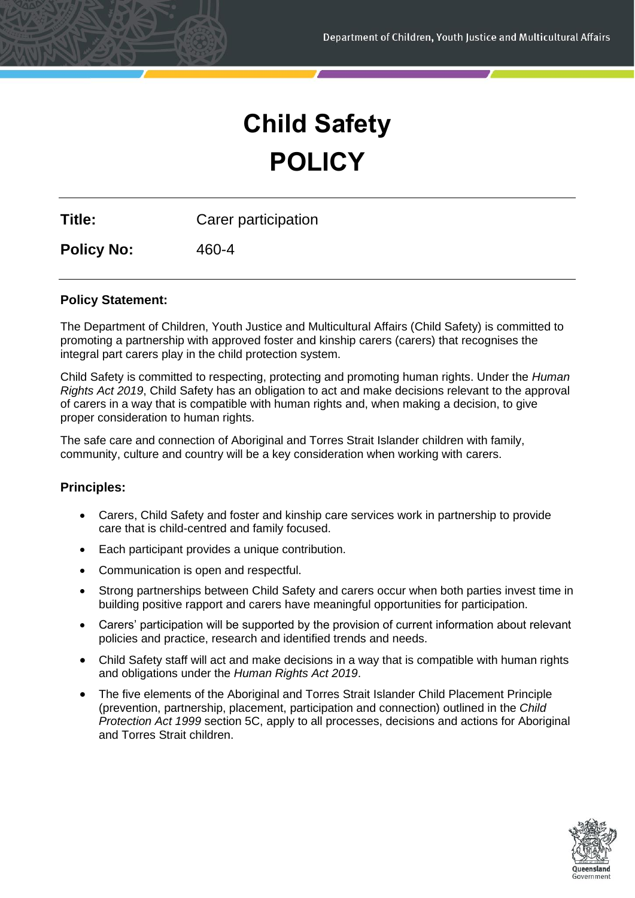# **Child Safety POLICY**

**Title:** Carer participation

**Policy No:** 460-4

# **Policy Statement:**

The Department of Children, Youth Justice and Multicultural Affairs (Child Safety) is committed to promoting a partnership with approved foster and kinship carers (carers) that recognises the integral part carers play in the child protection system.

Child Safety is committed to respecting, protecting and promoting human rights. Under the *Human Rights Act 2019*, Child Safety has an obligation to act and make decisions relevant to the approval of carers in a way that is compatible with human rights and, when making a decision, to give proper consideration to human rights.

The safe care and connection of Aboriginal and Torres Strait Islander children with family, community, culture and country will be a key consideration when working with carers.

### **Principles:**

- Carers, Child Safety and foster and kinship care services work in partnership to provide care that is child-centred and family focused.
- Each participant provides a unique contribution.
- Communication is open and respectful.
- Strong partnerships between Child Safety and carers occur when both parties invest time in building positive rapport and carers have meaningful opportunities for participation.
- Carers' participation will be supported by the provision of current information about relevant policies and practice, research and identified trends and needs.
- Child Safety staff will act and make decisions in a way that is compatible with human rights and obligations under the *Human Rights Act 2019*.
- The five elements of the Aboriginal and Torres Strait Islander Child Placement Principle (prevention, partnership, placement, participation and connection) outlined in the *Child Protection Act 1999* section 5C, apply to all processes, decisions and actions for Aboriginal and Torres Strait children.

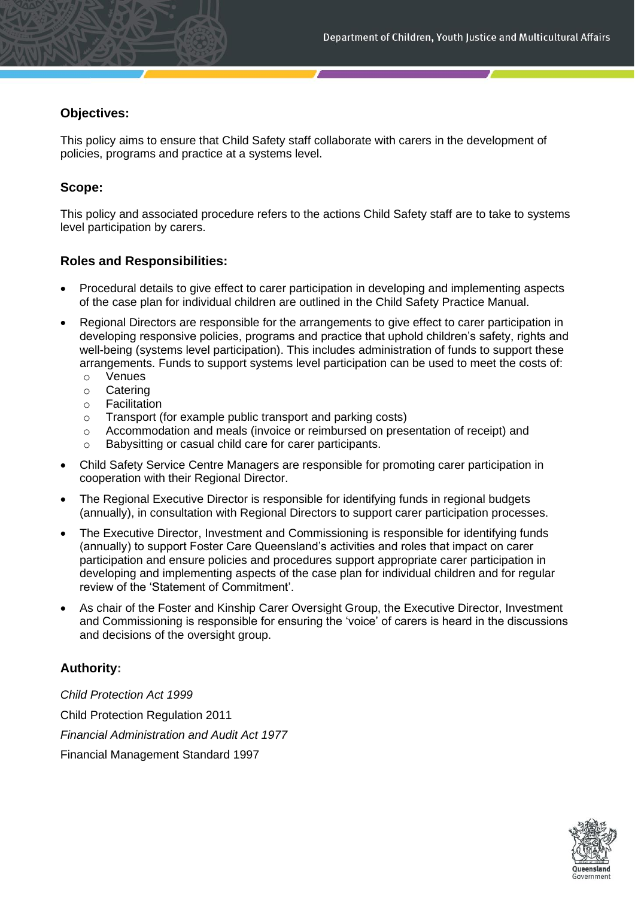# **Objectives:**

This policy aims to ensure that Child Safety staff collaborate with carers in the development of policies, programs and practice at a systems level.

# **Scope:**

This policy and associated procedure refers to the actions Child Safety staff are to take to systems level participation by carers.

# **Roles and Responsibilities:**

- Procedural details to give effect to carer participation in developing and implementing aspects of the case plan for individual children are outlined in the Child Safety Practice Manual.
- Regional Directors are responsible for the arrangements to give effect to carer participation in developing responsive policies, programs and practice that uphold children's safety, rights and well-being (systems level participation). This includes administration of funds to support these arrangements. Funds to support systems level participation can be used to meet the costs of:
	- o Venues
	- o Catering
	- o Facilitation
	- o Transport (for example public transport and parking costs)
	- o Accommodation and meals (invoice or reimbursed on presentation of receipt) and
	- o Babysitting or casual child care for carer participants.
- Child Safety Service Centre Managers are responsible for promoting carer participation in cooperation with their Regional Director.
- The Regional Executive Director is responsible for identifying funds in regional budgets (annually), in consultation with Regional Directors to support carer participation processes.
- The Executive Director, Investment and Commissioning is responsible for identifying funds (annually) to support Foster Care Queensland's activities and roles that impact on carer participation and ensure policies and procedures support appropriate carer participation in developing and implementing aspects of the case plan for individual children and for regular review of the 'Statement of Commitment'.
- As chair of the Foster and Kinship Carer Oversight Group, the Executive Director, Investment and Commissioning is responsible for ensuring the 'voice' of carers is heard in the discussions and decisions of the oversight group.

# **Authority:**

*Child Protection Act 1999*  Child Protection Regulation 2011 *Financial Administration and Audit Act 1977*  Financial Management Standard 1997

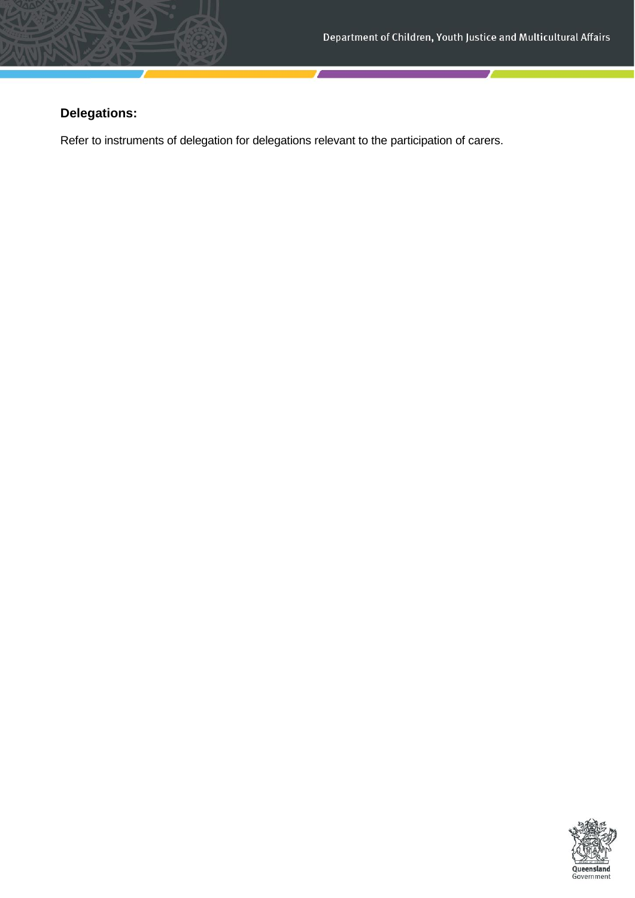# **Delegations:**

Refer to instruments of delegation for delegations relevant to the participation of carers.